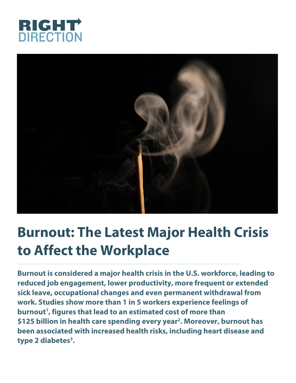



# **Burnout: The Latest Major Health Crisis to Affect the Workplace**

**Burnout is considered a major health crisis in the U.S. workforce, leading to reduced job engagement, lower productivity, more frequent or extended sick leave, occupational changes and even permanent withdrawal from work. Studies show more than 1 in 5 workers experience feelings of burnout1 , figures that lead to an estimated cost of more than \$125 billion in health care spending every year2 . Moreover, burnout has been associated with increased health risks, including heart disease and type 2 diabetes3 .**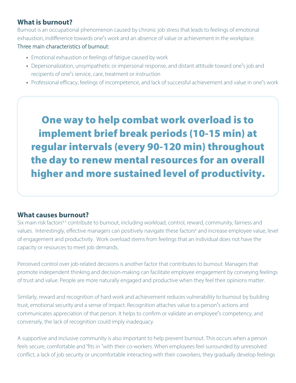# **What is burnout?**

Burnout is an occupational phenomenon caused by chronic job stress that leads to feelings of emotional exhaustion, indifference towards one's work and an absence of value or achievement in the workplace.

#### Three main characteristics of burnout:

- Emotional exhaustion or feelings of fatigue caused by work
- Depersonalization, unsympathetic or impersonal response, and distant attitude toward one's job and recipients of one's service, care, treatment or instruction
- Professional efficacy, feelings of incompetence, and lack of successful achievement and value in one's work

One way to help combat work overload is to implement brief break periods (10-15 min) at regular intervals (every 90-120 min) throughout the day to renew mental resources for an overall higher and more sustained level of productivity.

## **What causes burnout?**

Six main risk factors<sup>4-5</sup> contribute to burnout, including workload, control, reward, community, fairness and values. Interestingly, effective managers can positively navigate these factors<sup>6</sup> and increase employee value, level of engagement and productivity. Work overload stems from feelings that an individual does not have the capacity or resources to meet job demands.

Perceived control over job-related decisions is another factor that contributes to burnout. Managers that promote independent thinking and decision-making can facilitate employee engagement by conveying feelings of trust and value. People are more naturally engaged and productive when they feel their opinions matter.

Similarly, reward and recognition of hard work and achievement reduces vulnerability to burnout by building trust, emotional security and a sense of impact. Recognition attaches value to a person's actions and communicates appreciation of that person. It helps to confirm or validate an employee's competency, and conversely, the lack of recognition could imply inadequacy.

A supportive and inclusive community is also important to help prevent burnout. This occurs when a person feels secure, comfortable and 'fits in 'with their co-workers. When employees feel surrounded by unresolved conflict, a lack of job security or uncomfortable interacting with their coworkers, they gradually develop feelings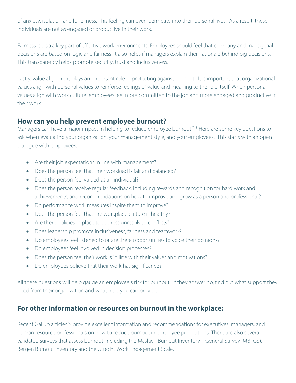of anxiety, isolation and loneliness. This feeling can even permeate into their personal lives. As a result, these individuals are not as engaged or productive in their work.

Fairness is also a key part of effective work environments. Employees should feel that company and managerial decisions are based on logic and fairness. It also helps if managers explain their rationale behind big decisions. This transparency helps promote security, trust and inclusiveness.

Lastly, value alignment plays an important role in protecting against burnout. It is important that organizational values align with personal values to reinforce feelings of value and meaning to the role itself. When personal values align with work culture, employees feel more committed to the job and more engaged and productive in their work.

## **How can you help prevent employee burnout?**

Managers can have a major impact in helping to reduce employee burnout.<sup>7-8</sup> Here are some key questions to ask when evaluating your organization, your management style, and your employees. This starts with an open dialogue with employees.

- Are their job expectations in line with management?
- Does the person feel that their workload is fair and balanced?
- Does the person feel valued as an individual?
- Does the person receive regular feedback, including rewards and recognition for hard work and achievements, and recommendations on how to improve and grow as a person and professional?
- Do performance work measures inspire them to improve?
- Does the person feel that the workplace culture is healthy?
- Are there policies in place to address unresolved conflicts?
- Does leadership promote inclusiveness, fairness and teamwork?
- Do employees feel listened to or are there opportunities to voice their opinions?
- Do employees feel involved in decision processes?
- Does the person feel their work is in line with their values and motivations?
- Do employees believe that their work has significance?

All these questions will help gauge an employee's risk for burnout. If they answer no, find out what support they need from their organization and what help you can provide.

# **For other information or resources on burnout in the workplace:**

Recent Gallup articles<sup>7-8</sup> provide excellent information and recommendations for executives, managers, and human resource professionals on how to reduce burnout in employee populations. There are also several validated surveys that assess burnout, including the Maslach Burnout Inventory – General Survey (MBI-GS), Bergen Burnout Inventory and the Utrecht Work Engagement Scale.